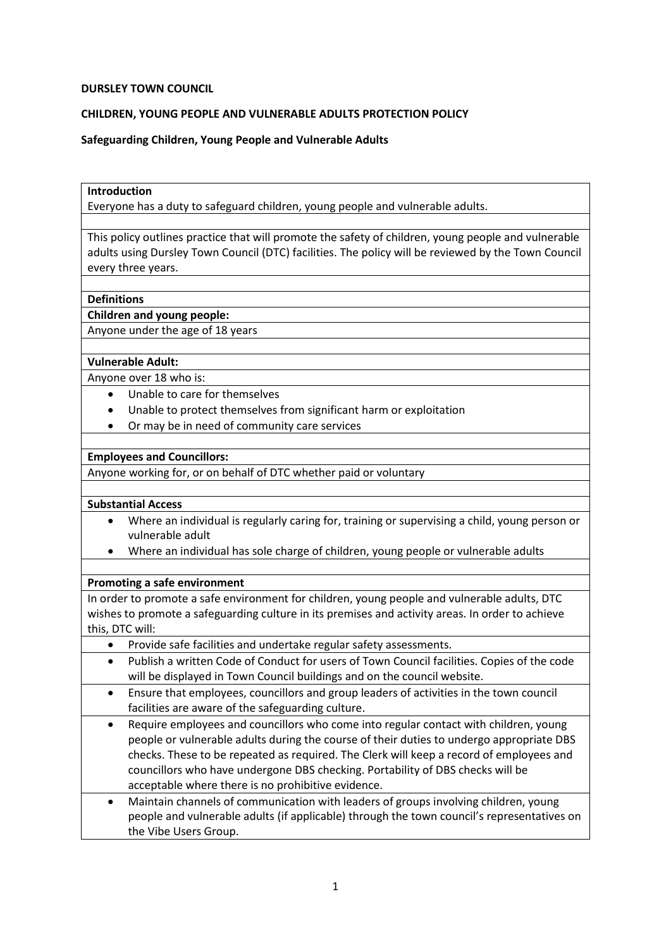### **DURSLEY TOWN COUNCIL**

## **CHILDREN, YOUNG PEOPLE AND VULNERABLE ADULTS PROTECTION POLICY**

**Safeguarding Children, Young People and Vulnerable Adults**

# **Introduction**

Everyone has a duty to safeguard children, young people and vulnerable adults.

This policy outlines practice that will promote the safety of children, young people and vulnerable adults using Dursley Town Council (DTC) facilities. The policy will be reviewed by the Town Council every three years.

## **Definitions**

**Children and young people:** 

Anyone under the age of 18 years

### **Vulnerable Adult:**

Anyone over 18 who is:

- Unable to care for themselves
- Unable to protect themselves from significant harm or exploitation
- Or may be in need of community care services

## **Employees and Councillors:**

Anyone working for, or on behalf of DTC whether paid or voluntary

## **Substantial Access**

- Where an individual is regularly caring for, training or supervising a child, young person or vulnerable adult
- Where an individual has sole charge of children, young people or vulnerable adults

## **Promoting a safe environment**

In order to promote a safe environment for children, young people and vulnerable adults, DTC wishes to promote a safeguarding culture in its premises and activity areas. In order to achieve this, DTC will:

- Provide safe facilities and undertake regular safety assessments.
- Publish a written Code of Conduct for users of Town Council facilities. Copies of the code will be displayed in Town Council buildings and on the council website.
- Ensure that employees, councillors and group leaders of activities in the town council facilities are aware of the safeguarding culture.
- Require employees and councillors who come into regular contact with children, young people or vulnerable adults during the course of their duties to undergo appropriate DBS checks. These to be repeated as required. The Clerk will keep a record of employees and councillors who have undergone DBS checking. Portability of DBS checks will be acceptable where there is no prohibitive evidence.
- Maintain channels of communication with leaders of groups involving children, young people and vulnerable adults (if applicable) through the town council's representatives on the Vibe Users Group.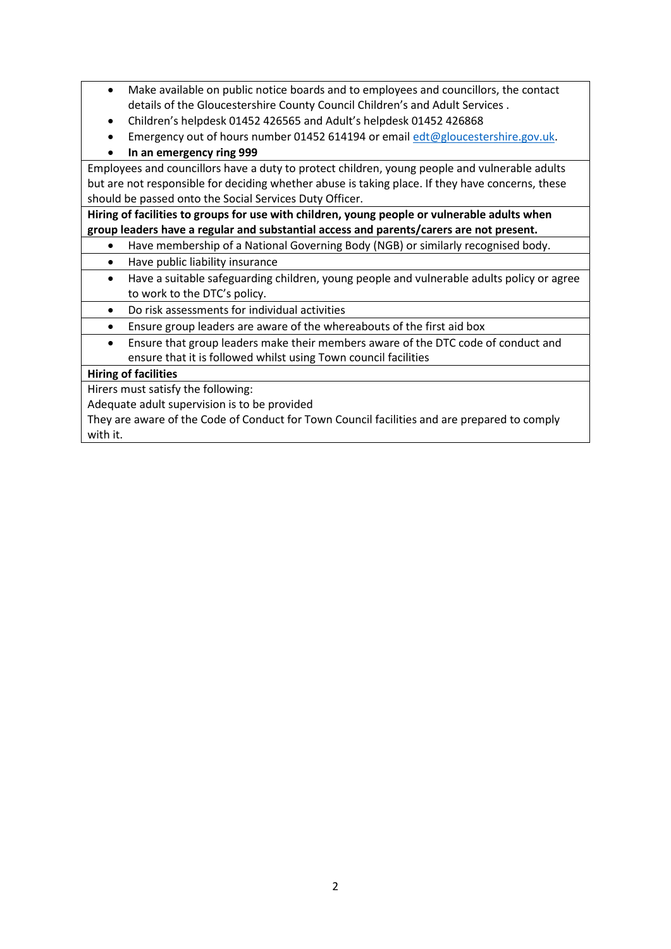- Make available on public notice boards and to employees and councillors, the contact details of the Gloucestershire County Council Children's and Adult Services .
- Children's helpdesk 01452 426565 and Adult's helpdesk 01452 426868
- Emergency out of hours number 01452 614194 or email [edt@gloucestershire.gov.uk.](mailto:edt@gloucestershire.gov.uk)
- **In an emergency ring 999**

Employees and councillors have a duty to protect children, young people and vulnerable adults but are not responsible for deciding whether abuse is taking place. If they have concerns, these should be passed onto the Social Services Duty Officer.

**Hiring of facilities to groups for use with children, young people or vulnerable adults when group leaders have a regular and substantial access and parents/carers are not present.** 

- Have membership of a National Governing Body (NGB) or similarly recognised body.
- Have public liability insurance
- Have a suitable safeguarding children, young people and vulnerable adults policy or agree to work to the DTC's policy.
- Do risk assessments for individual activities
- Ensure group leaders are aware of the whereabouts of the first aid box
- Ensure that group leaders make their members aware of the DTC code of conduct and ensure that it is followed whilst using Town council facilities

# **Hiring of facilities**

Hirers must satisfy the following:

Adequate adult supervision is to be provided

They are aware of the Code of Conduct for Town Council facilities and are prepared to comply with it.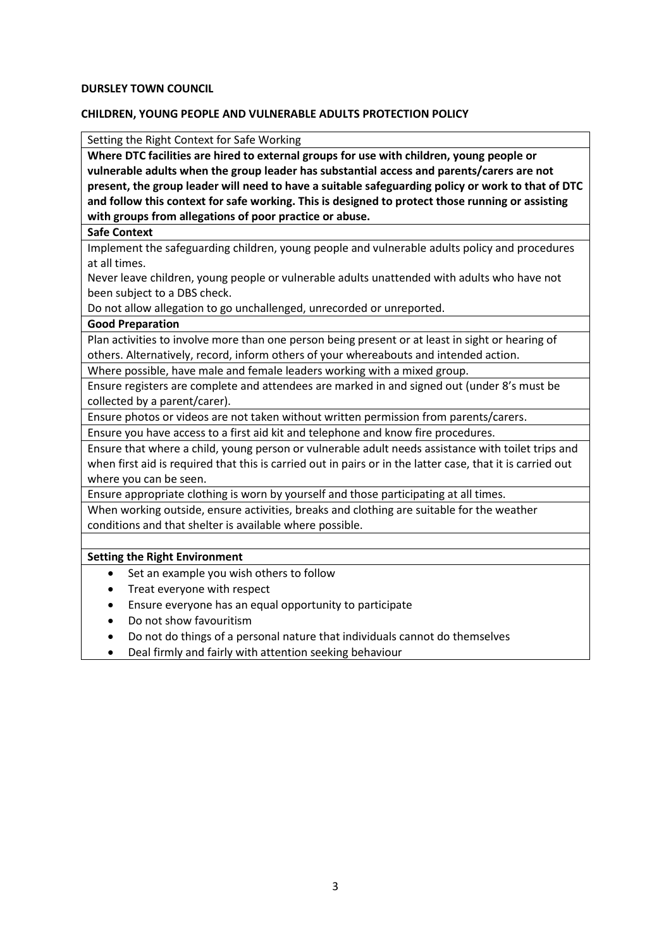### **DURSLEY TOWN COUNCIL**

## **CHILDREN, YOUNG PEOPLE AND VULNERABLE ADULTS PROTECTION POLICY**

Setting the Right Context for Safe Working

**Where DTC facilities are hired to external groups for use with children, young people or vulnerable adults when the group leader has substantial access and parents/carers are not present, the group leader will need to have a suitable safeguarding policy or work to that of DTC and follow this context for safe working. This is designed to protect those running or assisting with groups from allegations of poor practice or abuse.** 

#### **Safe Context**

Implement the safeguarding children, young people and vulnerable adults policy and procedures at all times.

Never leave children, young people or vulnerable adults unattended with adults who have not been subject to a DBS check.

Do not allow allegation to go unchallenged, unrecorded or unreported.

## **Good Preparation**

Plan activities to involve more than one person being present or at least in sight or hearing of others. Alternatively, record, inform others of your whereabouts and intended action.

Where possible, have male and female leaders working with a mixed group.

Ensure registers are complete and attendees are marked in and signed out (under 8's must be collected by a parent/carer).

Ensure photos or videos are not taken without written permission from parents/carers.

Ensure you have access to a first aid kit and telephone and know fire procedures.

Ensure that where a child, young person or vulnerable adult needs assistance with toilet trips and when first aid is required that this is carried out in pairs or in the latter case, that it is carried out where you can be seen.

Ensure appropriate clothing is worn by yourself and those participating at all times.

When working outside, ensure activities, breaks and clothing are suitable for the weather conditions and that shelter is available where possible.

## **Setting the Right Environment**

- Set an example you wish others to follow
- Treat everyone with respect
- Ensure everyone has an equal opportunity to participate
- Do not show favouritism
- Do not do things of a personal nature that individuals cannot do themselves
- Deal firmly and fairly with attention seeking behaviour